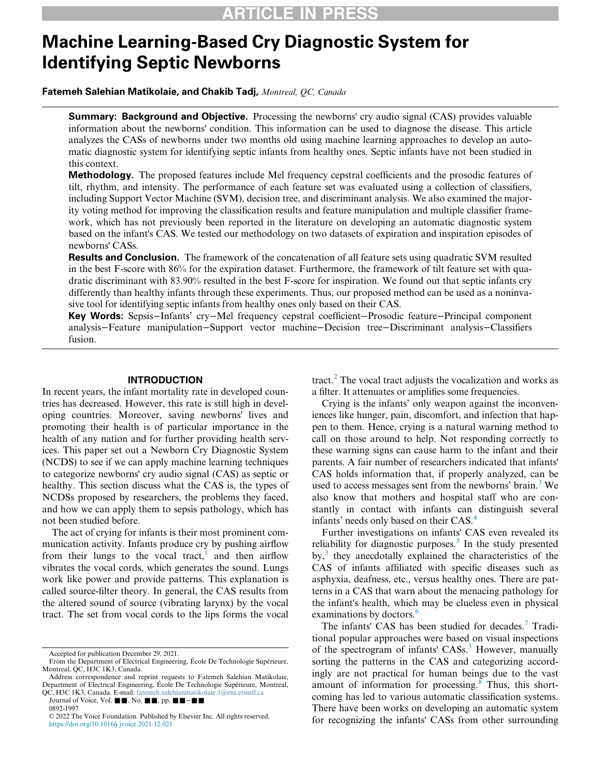# Machine Learning-Based Cry Diagnostic System for Identifying Septic Newborns

Fatemeh Salehian Matikolaie, and Chakib Tadj, Montreal, QC, Canada

**Summary: Background and Objective.** Processing the newborns' cry audio signal (CAS) provides valuable information about the newborns' condition. This information can be used to diagnose the disease. This article analyzes the CASs of newborns under two months old using machine learning approaches to develop an automatic diagnostic system for identifying septic infants from healthy ones. Septic infants have not been studied in this context.

Methodology. The proposed features include Mel frequency cepstral coefficients and the prosodic features of tilt, rhythm, and intensity. The performance of each feature set was evaluated using a collection of classifiers, including Support Vector Machine (SVM), decision tree, and discriminant analysis. We also examined the majority voting method for improving the classification results and feature manipulation and multiple classifier framework, which has not previously been reported in the literature on developing an automatic diagnostic system based on the infant's CAS. We tested our methodology on two datasets of expiration and inspiration episodes of newborns' CASs.

Results and Conclusion. The framework of the concatenation of all feature sets using quadratic SVM resulted in the best F-score with 86% for the expiration dataset. Furthermore, the framework of tilt feature set with quadratic discriminant with 83.90% resulted in the best F-score for inspiration. We found out that septic infants cry differently than healthy infants through these experiments. Thus, our proposed method can be used as a noninvasive tool for identifying septic infants from healthy ones only based on their CAS.

Key Words: Sepsis−Infants' cry−Mel frequency cepstral coefficient−Prosodic feature−Principal component analysis−Feature manipulation−Support vector machine−Decision tree−Discriminant analysis−Classifiers fusion.

#### INTRODUCTION

In recent years, the infant mortality rate in developed countries has decreased. However, this rate is still high in developing countries. Moreover, saving newborns' lives and promoting their health is of particular importance in the health of any nation and for further providing health services. This paper set out a Newborn Cry Diagnostic System (NCDS) to see if we can apply machine learning techniques to categorize newborns' cry audio signal (CAS) as septic or healthy. This section discuss what the CAS is, the types of NCDSs proposed by researchers, the problems they faced, and how we can apply them to sepsis pathology, which has not been studied before.

The act of crying for infants is their most prominent communication activity. Infants produce cry by pushing airflow from their lungs to the vocal tract,<sup>1</sup> and then airflow vibrates the vocal cords, which generates the sound. Lungs work like power and provide patterns. This explanation is called source-filter theory. In general, the CAS results from the altered sound of source (vibrating larynx) by the vocal tract. The set from vocal cords to the lips forms the vocal

0892-1997

tract. $^{2}$  $^{2}$  $^{2}$  The vocal tract adjusts the vocalization and works as a filter. It attenuates or amplifies some frequencies.

Crying is the infants' only weapon against the inconveniences like hunger, pain, discomfort, and infection that happen to them. Hence, crying is a natural warning method to call on those around to help. Not responding correctly to these warning signs can cause harm to the infant and their parents. A fair number of researchers indicated that infants' CAS holds information that, if properly analyzed, can be used to access messages sent from the newborns' brain.<sup>[3](#page-12-2)</sup> We also know that mothers and hospital staff who are constantly in contact with infants can distinguish several infants' needs only based on their CAS.<sup>[4](#page-12-3)</sup>

Further investigations on infants' CAS even revealed its reliability for diagnostic purposes. $5$  In the study presented by,[3](#page-12-2) they anecdotally explained the characteristics of the CAS of infants affiliated with specific diseases such as asphyxia, deafness, etc., versus healthy ones. There are patterns in a CAS that warn about the menacing pathology for the infant's health, which may be clueless even in physical examinations by doctors.<sup>[6](#page-12-5)</sup>

The infants' CAS has been studied for decades.<sup>[7](#page-12-6)</sup> Traditional popular approaches were based on visual inspections of the spectrogram of infants'  $CASS.$ <sup>[3](#page-12-2)</sup> However, manually sorting the patterns in the CAS and categorizing accordingly are not practical for human beings due to the vast amount of information for processing.<sup>[8](#page-12-7)</sup> Thus, this shortcoming has led to various automatic classification systems. There have been works on developing an automatic system for recognizing the infants' CASs from other surrounding

Accepted for publication December 29, 2021.

From the Department of Electrical Engineering, Ecole De Technologie Supérieure, Montreal, QC, H3C 1K3, Canada.

Address correspondence and reprint requests to Fatemeh Salehian Matikolaie, Department of Electrical Engineering, Ecole De Technologie Supérieure, Montreal, QC, H3C 1K3, Canada. E-mail: [fatemeh.salehianmatikolaie.1@ens.etsmtl.ca](mailto:fatemeh.salehianmatikolaie.1@ens.etsmtl.ca)

Journal of Voice, Vol. ■■, No. ■■, pp. ■■–■■

<sup>© 2022</sup> The Voice Foundation. Published by Elsevier Inc. All rights reserved. <https://doi.org/10.1016/j.jvoice.2021.12.021>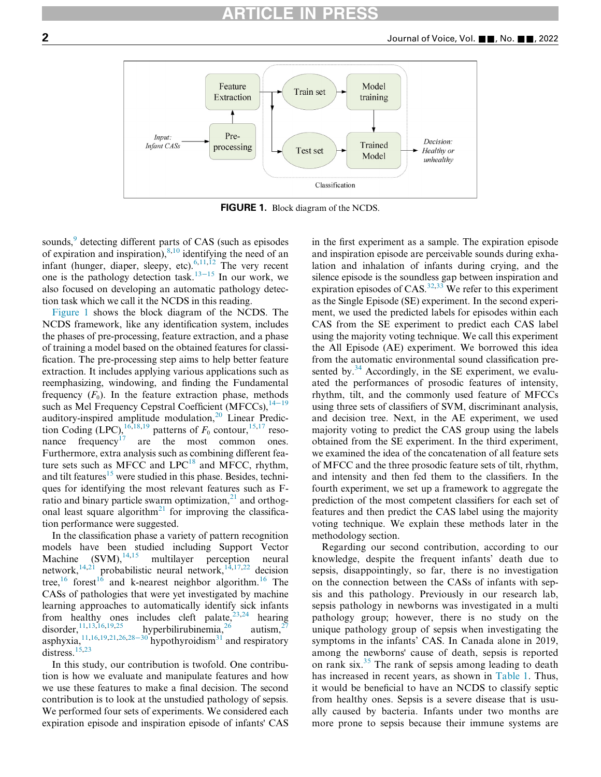<span id="page-1-0"></span>

FIGURE 1. Block diagram of the NCDS.

sounds,<sup>[9](#page-12-8)</sup> detecting different parts of CAS (such as episodes of expiration and inspiration),  $8,10$  $8,10$  identifying the need of an infant (hunger, diaper, sleepy, etc). $6,11,12$  $6,11,12$  $6,11,12$  The very recent one is the pathology detection task.<sup>[13](#page-12-12)−15</sup> In our work, we also focused on developing an automatic pathology detection task which we call it the NCDS in this reading.

[Figure 1](#page-1-0) shows the block diagram of the NCDS. The NCDS framework, like any identification system, includes the phases of pre-processing, feature extraction, and a phase of training a model based on the obtained features for classification. The pre-processing step aims to help better feature extraction. It includes applying various applications such as reemphasizing, windowing, and finding the Fundamental frequency  $(F_0)$ . In the feature extraction phase, methods such as Mel Frequency Cepstral Coefficient (MFCCs), $14-19$  $14-19$ auditory-inspired amplitude modulation, $20$  Linear Prediction Coding (LPC),  $^{16,18,19}$  $^{16,18,19}$  $^{16,18,19}$  $^{16,18,19}$  $^{16,18,19}$  patterns of  $F_0$  contour,  $^{15,17}$  $^{15,17}$  $^{15,17}$  $^{15,17}$  reso-nance frequency<sup>[17](#page-12-19)</sup> are the most common ones. Furthermore, extra analysis such as combining different feature sets such as MFCC and  $LPC^{18}$  $LPC^{18}$  $LPC^{18}$  and MFCC, rhythm, and tilt features<sup>[15](#page-12-18)</sup> were studied in this phase. Besides, techniques for identifying the most relevant features such as Fratio and binary particle swarm optimization, $^{21}$  $^{21}$  $^{21}$  and orthog-onal least square algorithm<sup>[21](#page-12-20)</sup> for improving the classification performance were suggested.

In the classification phase a variety of pattern recognition models have been studied including Support Vector Machine  $(SVM)$ ,  $^{14,15}$  $^{14,15}$  $^{14,15}$  $^{14,15}$  multilayer perception neural network, $^{14,21}$  $^{14,21}$  $^{14,21}$  $^{14,21}$  probabilistic neural network, $^{14,17,22}$  $^{14,17,22}$  $^{14,17,22}$  $^{14,17,22}$  $^{14,17,22}$  decision tree,<sup>[16](#page-12-15)</sup> forest<sup>16</sup> and k-nearest neighbor algorithm.<sup>16</sup> The CASs of pathologies that were yet investigated by machine learning approaches to automatically identify sick infants from healthy ones includes cleft palate,  $23,24$  $23,24$  hearing disorder,  $^{11,13,16,19,25}$  $^{11,13,16,19,25}$  $^{11,13,16,19,25}$  $^{11,13,16,19,25}$  $^{11,13,16,19,25}$  $^{11,13,16,19,25}$  $^{11,13,16,19,25}$  hyperbilirubinemia,  $^{26}$  $^{26}$  $^{26}$  autism,  $^{27}$  $^{27}$  $^{27}$ asphyxia,<sup>[11](#page-12-10)[,16,](#page-12-15)[19](#page-12-17)[,21,](#page-12-20)[26](#page-13-2)[,28](#page-13-4)–30</sup> hypothyroidism<sup>[31](#page-13-5)</sup> and respiratory distress.<sup>[15,](#page-12-18)[23](#page-12-22)</sup>

In this study, our contribution is twofold. One contribution is how we evaluate and manipulate features and how we use these features to make a final decision. The second contribution is to look at the unstudied pathology of sepsis. We performed four sets of experiments. We considered each expiration episode and inspiration episode of infants' CAS in the first experiment as a sample. The expiration episode and inspiration episode are perceivable sounds during exhalation and inhalation of infants during crying, and the silence episode is the soundless gap between inspiration and expiration episodes of CAS.<sup>[32,](#page-13-6)[33](#page-13-7)</sup> We refer to this experiment as the Single Episode (SE) experiment. In the second experiment, we used the predicted labels for episodes within each CAS from the SE experiment to predict each CAS label using the majority voting technique. We call this experiment the All Episode (AE) experiment. We borrowed this idea from the automatic environmental sound classification presented by. $34$  Accordingly, in the SE experiment, we evaluated the performances of prosodic features of intensity, rhythm, tilt, and the commonly used feature of MFCCs using three sets of classifiers of SVM, discriminant analysis, and decision tree. Next, in the AE experiment, we used majority voting to predict the CAS group using the labels obtained from the SE experiment. In the third experiment, we examined the idea of the concatenation of all feature sets of MFCC and the three prosodic feature sets of tilt, rhythm, and intensity and then fed them to the classifiers. In the fourth experiment, we set up a framework to aggregate the prediction of the most competent classifiers for each set of features and then predict the CAS label using the majority voting technique. We explain these methods later in the methodology section.

Regarding our second contribution, according to our knowledge, despite the frequent infants' death due to sepsis, disappointingly, so far, there is no investigation on the connection between the CASs of infants with sepsis and this pathology. Previously in our research lab, sepsis pathology in newborns was investigated in a multi pathology group; however, there is no study on the unique pathology group of sepsis when investigating the symptoms in the infants' CAS. In Canada alone in 2019, among the newborns' cause of death, sepsis is reported on rank six. $35$  The rank of sepsis among leading to death has increased in recent years, as shown in [Table 1](#page-2-0). Thus, it would be beneficial to have an NCDS to classify septic from healthy ones. Sepsis is a severe disease that is usually caused by bacteria. Infants under two months are more prone to sepsis because their immune systems are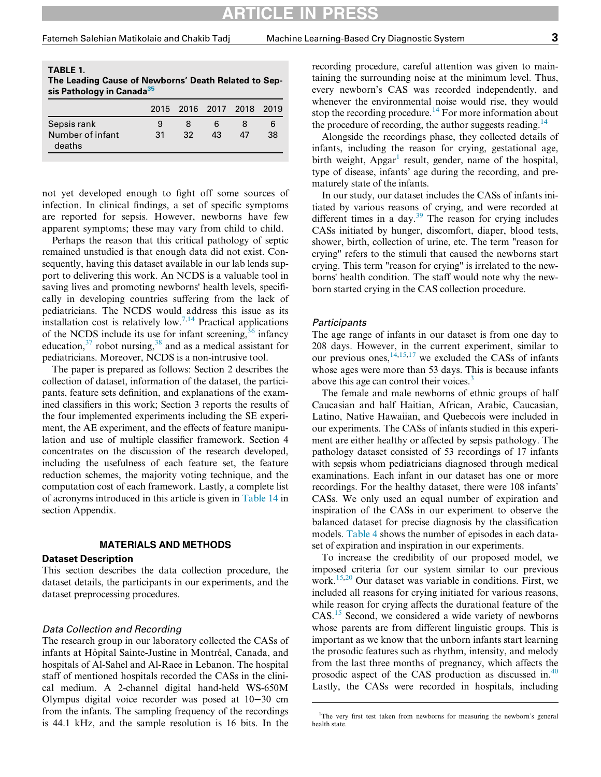$\blacksquare$ 

deaths

<span id="page-2-0"></span>

| TABLE 1.<br>The Leading Cause of Newborns' Death Related to Sep-<br>sis Pathology in Canada <sup>35</sup> |    |                          |    |   |    |  |  |
|-----------------------------------------------------------------------------------------------------------|----|--------------------------|----|---|----|--|--|
|                                                                                                           |    | 2015 2016 2017 2018 2019 |    |   |    |  |  |
| Sepsis rank                                                                                               |    | 8                        | 6  | 8 | 6  |  |  |
| Number of infant                                                                                          | 31 | 32                       | 43 |   | 38 |  |  |

not yet developed enough to fight off some sources of infection. In clinical findings, a set of specific symptoms are reported for sepsis. However, newborns have few apparent symptoms; these may vary from child to child.

Perhaps the reason that this critical pathology of septic remained unstudied is that enough data did not exist. Consequently, having this dataset available in our lab lends support to delivering this work. An NCDS is a valuable tool in saving lives and promoting newborns' health levels, specifically in developing countries suffering from the lack of pediatricians. The NCDS would address this issue as its installation cost is relatively low.<sup>7,[14](#page-12-13)</sup> Practical applications of the NCDS include its use for infant screening,  $36$  infancy education,  $37$  robot nursing,  $38$  and as a medical assistant for pediatricians. Moreover, NCDS is a non-intrusive tool.

The paper is prepared as follows: Section 2 describes the collection of dataset, information of the dataset, the participants, feature sets definition, and explanations of the examined classifiers in this work; Section 3 reports the results of the four implemented experiments including the SE experiment, the AE experiment, and the effects of feature manipulation and use of multiple classifier framework. Section 4 concentrates on the discussion of the research developed, including the usefulness of each feature set, the feature reduction schemes, the majority voting technique, and the computation cost of each framework. Lastly, a complete list of acronyms introduced in this article is given in [Table 14](#page-11-0) in section Appendix.

# MATERIALS AND METHODS

#### Dataset Description

This section describes the data collection procedure, the dataset details, the participants in our experiments, and the dataset preprocessing procedures.

#### Data Collection and Recording

<span id="page-2-1"></span>The research group in our laboratory collected the CASs of infants at Hôpital Sainte-Justine in Montréal, Canada, and hospitals of Al-Sahel and Al-Raee in Lebanon. The hospital staff of mentioned hospitals recorded the CASs in the clinical medium. A 2-channel digital hand-held WS-650M Olympus digital voice recorder was posed at 10−30 cm from the infants. The sampling frequency of the recordings is 44.1 kHz, and the sample resolution is 16 bits. In the

recording procedure, careful attention was given to maintaining the surrounding noise at the minimum level. Thus, every newborn's CAS was recorded independently, and whenever the environmental noise would rise, they would stop the recording procedure.<sup>[14](#page-12-13)</sup> For more information about the procedure of recording, the author suggests reading.<sup>[14](#page-12-13)</sup>

Alongside the recordings phase, they collected details of infants, including the reason for crying, gestational age, birth weight,  $\text{A} \text{p} \text{g} \text{a} \text{r}^1$  $\text{A} \text{p} \text{g} \text{a} \text{r}^1$  result, gender, name of the hospital, type of disease, infants' age during the recording, and prematurely state of the infants.

In our study, our dataset includes the CASs of infants initiated by various reasons of crying, and were recorded at different times in a day. $39$  The reason for crying includes CASs initiated by hunger, discomfort, diaper, blood tests, shower, birth, collection of urine, etc. The term "reason for crying" refers to the stimuli that caused the newborns start crying. This term "reason for crying" is irrelated to the newborns' health condition. The staff would note why the newborn started crying in the CAS collection procedure.

#### **Participants**

The age range of infants in our dataset is from one day to 208 days. However, in the current experiment, similar to our previous ones,  $14,15,17$  $14,15,17$  $14,15,17$  we excluded the CASs of infants whose ages were more than 53 days. This is because infants above this age can control their voices.<sup>[3](#page-12-2)</sup>

The female and male newborns of ethnic groups of half Caucasian and half Haitian, African, Arabic, Caucasian, Latino, Native Hawaiian, and Quebecois were included in our experiments. The CASs of infants studied in this experiment are either healthy or affected by sepsis pathology. The pathology dataset consisted of 53 recordings of 17 infants with sepsis whom pediatricians diagnosed through medical examinations. Each infant in our dataset has one or more recordings. For the healthy dataset, there were 108 infants' CASs. We only used an equal number of expiration and inspiration of the CASs in our experiment to observe the balanced dataset for precise diagnosis by the classification models. [Table 4](#page-6-0) shows the number of episodes in each dataset of expiration and inspiration in our experiments.

To increase the credibility of our proposed model, we imposed criteria for our system similar to our previous work.<sup>[15,](#page-12-18)[20](#page-12-14)</sup> Our dataset was variable in conditions. First, we included all reasons for crying initiated for various reasons, while reason for crying affects the durational feature of the CAS.<sup>[15](#page-12-18)</sup> Second, we considered a wide variety of newborns whose parents are from different linguistic groups. This is important as we know that the unborn infants start learning the prosodic features such as rhythm, intensity, and melody from the last three months of pregnancy, which affects the prosodic aspect of the CAS production as discussed in.<sup>[40](#page-13-14)</sup> Lastly, the CASs were recorded in hospitals, including

<sup>&</sup>lt;sup>1</sup>The very first test taken from newborns for measuring the newborn's general health state.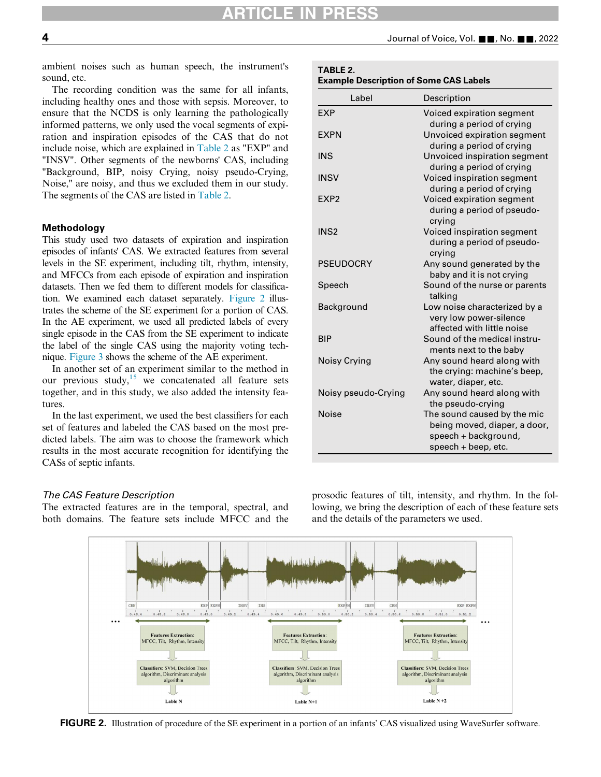TABLE 2.

<span id="page-3-0"></span>ambient noises such as human speech, the instrument's sound, etc.

The recording condition was the same for all infants, including healthy ones and those with sepsis. Moreover, to ensure that the NCDS is only learning the pathologically informed patterns, we only used the vocal segments of expiration and inspiration episodes of the CAS that do not include noise, which are explained in [Table 2](#page-3-0) as "EXP" and "INSV". Other segments of the newborns' CAS, including "Background, BIP, noisy Crying, noisy pseudo-Crying, Noise," are noisy, and thus we excluded them in our study. The segments of the CAS are listed in [Table 2](#page-3-0).

### **Methodology**

This study used two datasets of expiration and inspiration episodes of infants' CAS. We extracted features from several levels in the SE experiment, including tilt, rhythm, intensity, and MFCCs from each episode of expiration and inspiration datasets. Then we fed them to different models for classification. We examined each dataset separately. [Figure 2](#page-3-1) illustrates the scheme of the SE experiment for a portion of CAS. In the AE experiment, we used all predicted labels of every single episode in the CAS from the SE experiment to indicate the label of the single CAS using the majority voting technique. [Figure 3](#page-4-0) shows the scheme of the AE experiment.

In another set of an experiment similar to the method in our previous study,<sup>[15](#page-12-18)</sup> we concatenated all feature sets together, and in this study, we also added the intensity features.

In the last experiment, we used the best classifiers for each set of features and labeled the CAS based on the most predicted labels. The aim was to choose the framework which results in the most accurate recognition for identifying the CASs of septic infants.

## The CAS Feature Description

<span id="page-3-1"></span>The extracted features are in the temporal, spectral, and both domains. The feature sets include MFCC and the

| Label               | Description                                                                                                |
|---------------------|------------------------------------------------------------------------------------------------------------|
| <b>EXP</b>          | Voiced expiration segment<br>during a period of crying                                                     |
| <b>EXPN</b>         | Unvoiced expiration segment<br>during a period of crying                                                   |
| <b>INS</b>          | Unvoiced inspiration segment<br>during a period of crying                                                  |
| <b>INSV</b>         | Voiced inspiration segment<br>during a period of crying                                                    |
| EXP <sub>2</sub>    | Voiced expiration segment<br>during a period of pseudo-<br>crying                                          |
| INS <sub>2</sub>    | Voiced inspiration segment<br>during a period of pseudo-<br>crying                                         |
| <b>PSEUDOCRY</b>    | Any sound generated by the<br>baby and it is not crying                                                    |
| Speech              | Sound of the nurse or parents<br>talking                                                                   |
| Background          | Low noise characterized by a<br>very low power-silence<br>affected with little noise                       |
| <b>BIP</b>          | Sound of the medical instru-<br>ments next to the baby                                                     |
| Noisy Crying        | Any sound heard along with<br>the crying: machine's beep,<br>water, diaper, etc.                           |
| Noisy pseudo-Crying | Any sound heard along with<br>the pseudo-crying                                                            |
| <b>Noise</b>        | The sound caused by the mic<br>being moved, diaper, a door,<br>speech + background,<br>speech + beep, etc. |

prosodic features of tilt, intensity, and rhythm. In the following, we bring the description of each of these feature sets and the details of the parameters we used.



FIGURE 2. Illustration of procedure of the SE experiment in a portion of an infants' CAS visualized using WaveSurfer software.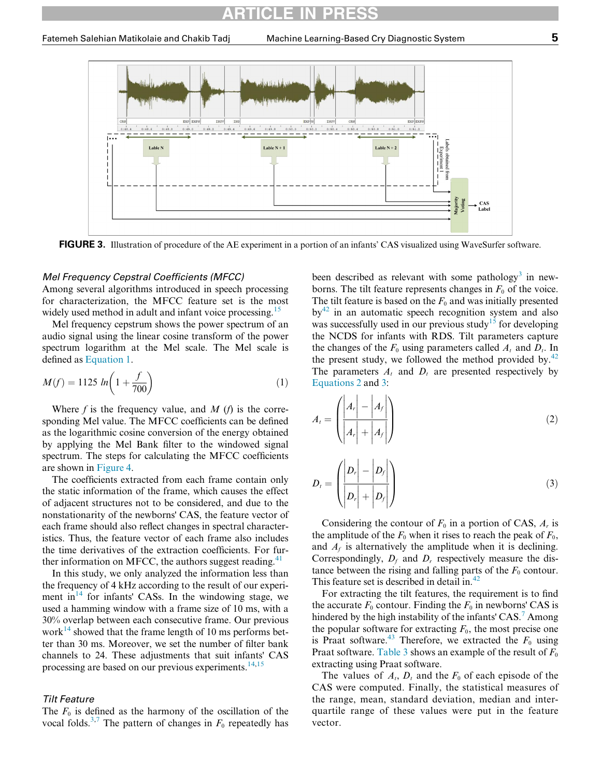<span id="page-4-0"></span>

FIGURE 3. Illustration of procedure of the AE experiment in a portion of an infants' CAS visualized using WaveSurfer software.

## Mel Frequency Cepstral Coefficients (MFCC)

Among several algorithms introduced in speech processing for characterization, the MFCC feature set is the most widely used method in adult and infant voice processing.<sup>[15](#page-12-18)</sup>

Mel frequency cepstrum shows the power spectrum of an audio signal using the linear cosine transform of the power spectrum logarithm at the Mel scale. The Mel scale is defined as [Equation 1](#page-4-1).

<span id="page-4-2"></span><span id="page-4-1"></span>
$$
M(f) = 1125 \ln\left(1 + \frac{f}{700}\right) \tag{1}
$$

Where  $f$  is the frequency value, and  $M$  ( $f$ ) is the corresponding Mel value. The MFCC coefficients can be defined as the logarithmic cosine conversion of the energy obtained by applying the Mel Bank filter to the windowed signal spectrum. The steps for calculating the MFCC coefficients are shown in [Figure 4.](#page-5-0)

<span id="page-4-3"></span>The coefficients extracted from each frame contain only the static information of the frame, which causes the effect of adjacent structures not to be considered, and due to the nonstationarity of the newborns' CAS, the feature vector of each frame should also reflect changes in spectral characteristics. Thus, the feature vector of each frame also includes the time derivatives of the extraction coefficients. For further information on MFCC, the authors suggest reading. $41$ 

In this study, we only analyzed the information less than the frequency of 4 kHz according to the result of our experiment in $^{14}$  $^{14}$  $^{14}$  for infants' CASs. In the windowing stage, we used a hamming window with a frame size of 10 ms, with a 30% overlap between each consecutive frame. Our previous work<sup>[14](#page-12-13)</sup> showed that the frame length of 10 ms performs better than 30 ms. Moreover, we set the number of filter bank channels to 24. These adjustments that suit infants' CAS processing are based on our previous experiments. $^{14,15}$  $^{14,15}$  $^{14,15}$  $^{14,15}$ 

#### Tilt Feature

The  $F_0$  is defined as the harmony of the oscillation of the vocal folds.<sup>[3,](#page-12-2)[7](#page-12-6)</sup> The pattern of changes in  $F_0$  repeatedly has

been described as relevant with some pathology<sup>[3](#page-12-2)</sup> in newborns. The tilt feature represents changes in  $F_0$  of the voice. The tilt feature is based on the  $F_0$  and was initially presented  $by<sup>42</sup>$  $by<sup>42</sup>$  $by<sup>42</sup>$  in an automatic speech recognition system and also was successfully used in our previous study<sup>[15](#page-12-18)</sup> for developing the NCDS for infants with RDS. Tilt parameters capture the changes of the  $F_0$  using parameters called  $A_t$  and  $D_t$ . In the present study, we followed the method provided by. $42$ The parameters  $A_t$  and  $D_t$  are presented respectively by [Equations 2](#page-4-2) and [3:](#page-4-3)

$$
A_{t} = \left(\frac{\left|A_{r}\right| - \left|A_{f}\right|}{\left|A_{r}\right| + \left|A_{f}\right|}\right) \tag{2}
$$

$$
D_{t} = \left(\frac{\left|D_{r}\right| - \left|D_{f}\right|}{\left|D_{r}\right| + \left|D_{f}\right|}\right) \tag{3}
$$

Considering the contour of  $F_0$  in a portion of CAS,  $A_r$  is the amplitude of the  $F_0$  when it rises to reach the peak of  $F_0$ , and  $A_f$  is alternatively the amplitude when it is declining. Correspondingly,  $D_f$  and  $D_r$  respectively measure the distance between the rising and falling parts of the  $F_0$  contour. This feature set is described in detail in.<sup>[42](#page-13-16)</sup>

For extracting the tilt features, the requirement is to find the accurate  $F_0$  contour. Finding the  $F_0$  in newborns' CAS is hindered by the high instability of the infants' CAS.<sup>[7](#page-12-6)</sup> Among the popular software for extracting  $F_0$ , the most precise one is Praat software.<sup>[43](#page-13-17)</sup> Therefore, we extracted the  $F_0$  using Praat software. [Table 3](#page-5-1) shows an example of the result of  $F_0$ extracting using Praat software.

The values of  $A_t$ ,  $D_t$  and the  $F_0$  of each episode of the CAS were computed. Finally, the statistical measures of the range, mean, standard deviation, median and interquartile range of these values were put in the feature vector.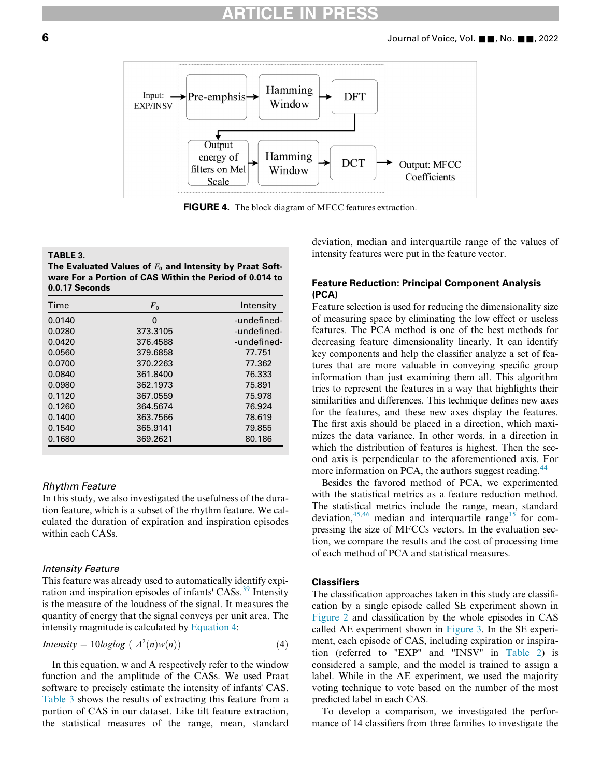<span id="page-5-0"></span>

FIGURE 4. The block diagram of MFCC features extraction.

#### <span id="page-5-1"></span>TABLE 3.

The Evaluated Values of  $F_0$  and Intensity by Praat Software For a Portion of CAS Within the Period of 0.014 to 0.0.17 Seconds

| Time   | $\mathbf{F}_0$ | Intensity   |
|--------|----------------|-------------|
| 0.0140 | 0              | -undefined- |
| 0.0280 | 373.3105       | -undefined- |
| 0.0420 | 376.4588       | -undefined- |
| 0.0560 | 379.6858       | 77.751      |
| 0.0700 | 370.2263       | 77.362      |
| 0.0840 | 361.8400       | 76.333      |
| 0.0980 | 362.1973       | 75.891      |
| 0.1120 | 367.0559       | 75.978      |
| 0.1260 | 364.5674       | 76.924      |
| 0.1400 | 363.7566       | 78.619      |
| 0.1540 | 365.9141       | 79.855      |
| 0.1680 | 369.2621       | 80.186      |

#### Rhythm Feature

In this study, we also investigated the usefulness of the duration feature, which is a subset of the rhythm feature. We calculated the duration of expiration and inspiration episodes within each CASs.

## Intensity Feature

This feature was already used to automatically identify expi-ration and inspiration episodes of infants' CASs.<sup>[39](#page-13-13)</sup> Intensity is the measure of the loudness of the signal. It measures the quantity of energy that the signal conveys per unit area. The intensity magnitude is calculated by [Equation 4](#page-5-2):

<span id="page-5-2"></span>
$$
Intensity = 10 log log (A2(n) w(n))
$$
 (4)

In this equation, w and A respectively refer to the window function and the amplitude of the CASs. We used Praat software to precisely estimate the intensity of infants' CAS. [Table 3](#page-5-1) shows the results of extracting this feature from a portion of CAS in our dataset. Like tilt feature extraction, the statistical measures of the range, mean, standard

deviation, median and interquartile range of the values of intensity features were put in the feature vector.

# Feature Reduction: Principal Component Analysis (PCA)

Feature selection is used for reducing the dimensionality size of measuring space by eliminating the low effect or useless features. The PCA method is one of the best methods for decreasing feature dimensionality linearly. It can identify key components and help the classifier analyze a set of features that are more valuable in conveying specific group information than just examining them all. This algorithm tries to represent the features in a way that highlights their similarities and differences. This technique defines new axes for the features, and these new axes display the features. The first axis should be placed in a direction, which maximizes the data variance. In other words, in a direction in which the distribution of features is highest. Then the second axis is perpendicular to the aforementioned axis. For more information on PCA, the authors suggest reading.<sup>[44](#page-13-18)</sup>

Besides the favored method of PCA, we experimented with the statistical metrics as a feature reduction method. The statistical metrics include the range, mean, standard deviation, $45,46$  $45,46$  median and interquartile range<sup>15</sup> for compressing the size of MFCCs vectors. In the evaluation section, we compare the results and the cost of processing time of each method of PCA and statistical measures.

# **Classifiers**

The classification approaches taken in this study are classification by a single episode called SE experiment shown in [Figure 2](#page-3-1) and classification by the whole episodes in CAS called AE experiment shown in [Figure 3.](#page-4-0) In the SE experiment, each episode of CAS, including expiration or inspiration (referred to "EXP" and "INSV" in [Table 2\)](#page-3-0) is considered a sample, and the model is trained to assign a label. While in the AE experiment, we used the majority voting technique to vote based on the number of the most predicted label in each CAS.

To develop a comparison, we investigated the performance of 14 classifiers from three families to investigate the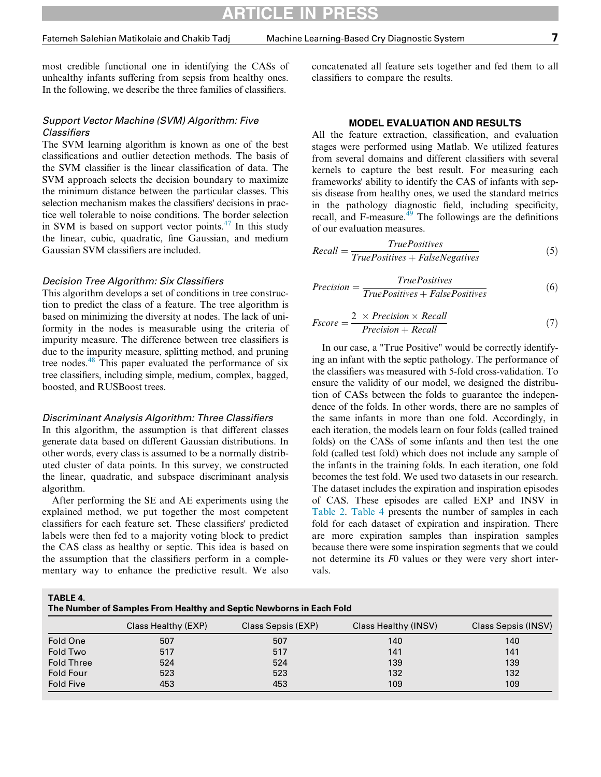most credible functional one in identifying the CASs of unhealthy infants suffering from sepsis from healthy ones. In the following, we describe the three families of classifiers.

# Support Vector Machine (SVM) Algorithm: Five **Classifiers**

The SVM learning algorithm is known as one of the best classifications and outlier detection methods. The basis of the SVM classifier is the linear classification of data. The SVM approach selects the decision boundary to maximize the minimum distance between the particular classes. This selection mechanism makes the classifiers' decisions in practice well tolerable to noise conditions. The border selection in SVM is based on support vector points. $47$  In this study the linear, cubic, quadratic, fine Gaussian, and medium Gaussian SVM classifiers are included.

#### Decision Tree Algorithm: Six Classifiers

This algorithm develops a set of conditions in tree construction to predict the class of a feature. The tree algorithm is based on minimizing the diversity at nodes. The lack of uniformity in the nodes is measurable using the criteria of impurity measure. The difference between tree classifiers is due to the impurity measure, splitting method, and pruning tree nodes.[48](#page-13-22) This paper evaluated the performance of six tree classifiers, including simple, medium, complex, bagged, boosted, and RUSBoost trees.

#### Discriminant Analysis Algorithm: Three Classifiers

In this algorithm, the assumption is that different classes generate data based on different Gaussian distributions. In other words, every class is assumed to be a normally distributed cluster of data points. In this survey, we constructed the linear, quadratic, and subspace discriminant analysis algorithm.

After performing the SE and AE experiments using the explained method, we put together the most competent classifiers for each feature set. These classifiers' predicted labels were then fed to a majority voting block to predict the CAS class as healthy or septic. This idea is based on the assumption that the classifiers perform in a complementary way to enhance the predictive result. We also concatenated all feature sets together and fed them to all classifiers to compare the results.

### MODEL EVALUATION AND RESULTS

All the feature extraction, classification, and evaluation stages were performed using Matlab. We utilized features from several domains and different classifiers with several kernels to capture the best result. For measuring each frameworks' ability to identify the CAS of infants with sepsis disease from healthy ones, we used the standard metrics in the pathology diagnostic field, including specificity, recall, and  $F$ -measure.<sup>[49](#page-13-23)</sup> The followings are the definitions of our evaluation measures.

$$
Recall = \frac{True Positives}{True Positives + False Negatives}
$$
 (5)

$$
Precision = \frac{True Positives}{True Positives + False Positives}
$$
(6)

$$
Fscore = \frac{2 \times Precision \times Recall}{Precision + Recall}
$$
 (7)

In our case, a "True Positive" would be correctly identifying an infant with the septic pathology. The performance of the classifiers was measured with 5-fold cross-validation. To ensure the validity of our model, we designed the distribution of CASs between the folds to guarantee the independence of the folds. In other words, there are no samples of the same infants in more than one fold. Accordingly, in each iteration, the models learn on four folds (called trained folds) on the CASs of some infants and then test the one fold (called test fold) which does not include any sample of the infants in the training folds. In each iteration, one fold becomes the test fold. We used two datasets in our research. The dataset includes the expiration and inspiration episodes of CAS. These episodes are called EXP and INSV in [Table 2](#page-3-0). [Table 4](#page-6-0) presents the number of samples in each fold for each dataset of expiration and inspiration. There are more expiration samples than inspiration samples because there were some inspiration segments that we could not determine its F0 values or they were very short intervals.

<span id="page-6-0"></span>TABLE 4.

| The Number of Samples From Healthy and Septic Newborns in Each Fold |                     |                    |                      |                            |  |  |
|---------------------------------------------------------------------|---------------------|--------------------|----------------------|----------------------------|--|--|
|                                                                     | Class Healthy (EXP) | Class Sepsis (EXP) | Class Healthy (INSV) | <b>Class Sepsis (INSV)</b> |  |  |
| Fold One                                                            | 507                 | 507                | 140                  | 140                        |  |  |
| Fold Two                                                            | 517                 | 517                | 141                  | 141                        |  |  |
| <b>Fold Three</b>                                                   | 524                 | 524                | 139                  | 139                        |  |  |
| <b>Fold Four</b>                                                    | 523                 | 523                | 132                  | 132                        |  |  |
| <b>Fold Five</b>                                                    | 453                 | 453                | 109                  | 109                        |  |  |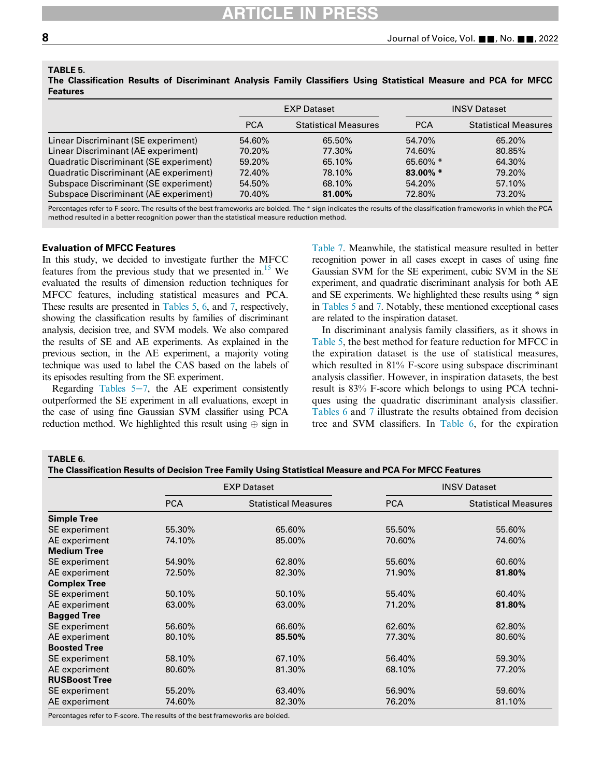<span id="page-7-0"></span>TABLE 5.

The Classification Results of Discriminant Analysis Family Classifiers Using Statistical Measure and PCA for MFCC Features

|                                        |            | <b>EXP Dataset</b>          |             | <b>INSV Dataset</b>         |
|----------------------------------------|------------|-----------------------------|-------------|-----------------------------|
|                                        | <b>PCA</b> | <b>Statistical Measures</b> | <b>PCA</b>  | <b>Statistical Measures</b> |
| Linear Discriminant (SE experiment)    | 54.60%     | 65.50%                      | 54.70%      | 65.20%                      |
| Linear Discriminant (AE experiment)    | 70.20%     | 77.30%                      | 74.60%      | 80.85%                      |
| Quadratic Discriminant (SE experiment) | 59.20%     | 65.10%                      | 65.60% $*$  | 64.30%                      |
| Quadratic Discriminant (AE experiment) | 72.40%     | 78.10%                      | $83.00\%$ * | 79.20%                      |
| Subspace Discriminant (SE experiment)  | 54.50%     | 68.10%                      | 54.20%      | 57.10%                      |
| Subspace Discriminant (AE experiment)  | 70.40%     | 81.00%                      | 72.80%      | 73.20%                      |

Percentages refer to F-score. The results of the best frameworks are bolded. The \* sign indicates the results of the classification frameworks in which the PCA method resulted in a better recognition power than the statistical measure reduction method.

# Evaluation of MFCC Features

In this study, we decided to investigate further the MFCC features from the previous study that we presented in.<sup>15</sup> We evaluated the results of dimension reduction techniques for MFCC features, including statistical measures and PCA. These results are presented in [Tables 5](#page-7-0), [6,](#page-7-1) and [7](#page-8-0), respectively, showing the classification results by families of discriminant analysis, decision tree, and SVM models. We also compared the results of SE and AE experiments. As explained in the previous section, in the AE experiment, a majority voting technique was used to label the CAS based on the labels of its episodes resulting from the SE experiment.

Regarding [Tables 5](#page-7-0)−7, the AE experiment consistently outperformed the SE experiment in all evaluations, except in the case of using fine Gaussian SVM classifier using PCA reduction method. We highlighted this result using  $\oplus$  sign in [Table 7](#page-8-0). Meanwhile, the statistical measure resulted in better recognition power in all cases except in cases of using fine Gaussian SVM for the SE experiment, cubic SVM in the SE experiment, and quadratic discriminant analysis for both AE and SE experiments. We highlighted these results using \* sign in [Tables 5](#page-7-0) and [7](#page-8-0). Notably, these mentioned exceptional cases are related to the inspiration dataset.

In discriminant analysis family classifiers, as it shows in [Table 5,](#page-7-0) the best method for feature reduction for MFCC in the expiration dataset is the use of statistical measures, which resulted in 81% F-score using subspace discriminant analysis classifier. However, in inspiration datasets, the best result is 83% F-score which belongs to using PCA techniques using the quadratic discriminant analysis classifier. [Tables 6](#page-7-1) and [7](#page-8-0) illustrate the results obtained from decision tree and SVM classifiers. In [Table 6,](#page-7-1) for the expiration

## <span id="page-7-1"></span>TABLE 6.

The Classification Results of Decision Tree Family Using Statistical Measure and PCA For MFCC Features

|                      | <b>EXP Dataset</b> |                             |            | <b>INSV Dataset</b>         |
|----------------------|--------------------|-----------------------------|------------|-----------------------------|
|                      | <b>PCA</b>         | <b>Statistical Measures</b> | <b>PCA</b> | <b>Statistical Measures</b> |
| <b>Simple Tree</b>   |                    |                             |            |                             |
| SE experiment        | 55.30%             | 65.60%                      | 55.50%     | 55.60%                      |
| AE experiment        | 74.10%             | 85.00%                      | 70.60%     | 74.60%                      |
| <b>Medium Tree</b>   |                    |                             |            |                             |
| SE experiment        | 54.90%             | 62.80%                      | 55.60%     | 60.60%                      |
| AE experiment        | 72.50%             | 82.30%                      | 71.90%     | 81.80%                      |
| <b>Complex Tree</b>  |                    |                             |            |                             |
| SE experiment        | 50.10%             | 50.10%                      | 55.40%     | 60.40%                      |
| AE experiment        | 63.00%             | 63.00%                      | 71.20%     | 81.80%                      |
| <b>Bagged Tree</b>   |                    |                             |            |                             |
| SE experiment        | 56.60%             | 66.60%                      | 62.60%     | 62.80%                      |
| AE experiment        | 80.10%             | 85.50%                      | 77.30%     | 80.60%                      |
| <b>Boosted Tree</b>  |                    |                             |            |                             |
| SE experiment        | 58.10%             | 67.10%                      | 56.40%     | 59.30%                      |
| AE experiment        | 80.60%             | 81.30%                      | 68.10%     | 77.20%                      |
| <b>RUSBoost Tree</b> |                    |                             |            |                             |
| SE experiment        | 55.20%             | 63.40%                      | 56.90%     | 59.60%                      |
| AE experiment        | 74.60%             | 82.30%                      | 76.20%     | 81.10%                      |

Percentages refer to F-score. The results of the best frameworks are bolded.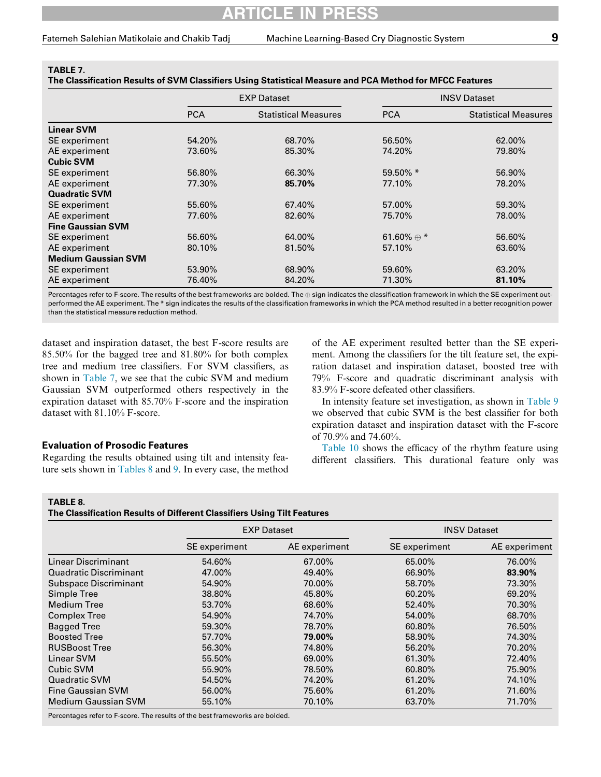<span id="page-8-0"></span>

| TABLE 7.<br>The Classification Results of SVM Classifiers Using Statistical Measure and PCA Method for MFCC Features |            |                             |               |                             |  |  |
|----------------------------------------------------------------------------------------------------------------------|------------|-----------------------------|---------------|-----------------------------|--|--|
|                                                                                                                      |            | <b>EXP Dataset</b>          |               | <b>INSV Dataset</b>         |  |  |
|                                                                                                                      | <b>PCA</b> | <b>Statistical Measures</b> | <b>PCA</b>    | <b>Statistical Measures</b> |  |  |
| <b>Linear SVM</b>                                                                                                    |            |                             |               |                             |  |  |
| SE experiment                                                                                                        | 54.20%     | 68.70%                      | 56.50%        | 62.00%                      |  |  |
| $\Lambda$ E avnorimant                                                                                               | $72$ COO/  | $OC$ 200/                   | סחר $\lambda$ | 70.000/                     |  |  |

| AE experiment              | 73.60% | 85.30% | 74.20%            | 79.80% |
|----------------------------|--------|--------|-------------------|--------|
| <b>Cubic SVM</b>           |        |        |                   |        |
| SE experiment              | 56.80% | 66.30% | 59.50% *          | 56.90% |
| AE experiment              | 77.30% | 85.70% | 77.10%            | 78.20% |
| <b>Quadratic SVM</b>       |        |        |                   |        |
| SE experiment              | 55.60% | 67.40% | 57.00%            | 59.30% |
| AE experiment              | 77.60% | 82.60% | 75.70%            | 78.00% |
| <b>Fine Gaussian SVM</b>   |        |        |                   |        |
| SE experiment              | 56.60% | 64.00% | 61.60% $\oplus$ * | 56.60% |
| AE experiment              | 80.10% | 81.50% | 57.10%            | 63.60% |
| <b>Medium Gaussian SVM</b> |        |        |                   |        |
| SE experiment              | 53.90% | 68.90% | 59.60%            | 63.20% |
| AE experiment              | 76.40% | 84.20% | 71.30%            | 81.10% |

Percentages refer to F-score. The results of the best frameworks are bolded. The  $\oplus$  sign indicates the classification framework in which the SE experiment outperformed the AE experiment. The \* sign indicates the results of the classification frameworks in which the PCA method resulted in a better recognition power than the statistical measure reduction method.

dataset and inspiration dataset, the best F-score results are 85.50% for the bagged tree and 81.80% for both complex tree and medium tree classifiers. For SVM classifiers, as shown in [Table 7,](#page-8-0) we see that the cubic SVM and medium Gaussian SVM outperformed others respectively in the expiration dataset with 85.70% F-score and the inspiration dataset with 81.10% F-score.

of the AE experiment resulted better than the SE experiment. Among the classifiers for the tilt feature set, the expiration dataset and inspiration dataset, boosted tree with 79% F-score and quadratic discriminant analysis with 83.9% F-score defeated other classifiers.

In intensity feature set investigation, as shown in [Table 9](#page-9-0) we observed that cubic SVM is the best classifier for both expiration dataset and inspiration dataset with the F-score of 70.9% and 74.60%.

# Evaluation of Prosodic Features

Regarding the results obtained using tilt and intensity feature sets shown in [Tables 8](#page-8-1) and [9.](#page-9-0) In every case, the method

[Table 10](#page-9-1) shows the efficacy of the rhythm feature using different classifiers. This durational feature only was

#### <span id="page-8-1"></span>TABLE 8.

The Classification Results of Different Classifiers Using Tilt Features

|                              | <b>EXP Dataset</b> |               |               | <b>INSV Dataset</b> |
|------------------------------|--------------------|---------------|---------------|---------------------|
|                              | SE experiment      | AE experiment | SE experiment | AE experiment       |
| Linear Discriminant          | 54.60%             | 67.00%        | 65.00%        | 76.00%              |
| Quadratic Discriminant       | 47.00%             | 49.40%        | 66.90%        | 83.90%              |
| <b>Subspace Discriminant</b> | 54.90%             | 70.00%        | 58.70%        | 73.30%              |
| Simple Tree                  | 38.80%             | 45.80%        | 60.20%        | 69.20%              |
| <b>Medium Tree</b>           | 53.70%             | 68.60%        | 52.40%        | 70.30%              |
| <b>Complex Tree</b>          | 54.90%             | 74.70%        | 54.00%        | 68.70%              |
| <b>Bagged Tree</b>           | 59.30%             | 78.70%        | 60.80%        | 76.50%              |
| <b>Boosted Tree</b>          | 57.70%             | 79.00%        | 58.90%        | 74.30%              |
| <b>RUSBoost Tree</b>         | 56.30%             | 74.80%        | 56.20%        | 70.20%              |
| Linear SVM                   | 55.50%             | 69.00%        | 61.30%        | 72.40%              |
| Cubic SVM                    | 55.90%             | 78.50%        | 60.80%        | 75.90%              |
| Quadratic SVM                | 54.50%             | 74.20%        | 61.20%        | 74.10%              |
| <b>Fine Gaussian SVM</b>     | 56.00%             | 75.60%        | 61.20%        | 71.60%              |
| <b>Medium Gaussian SVM</b>   | 55.10%             | 70.10%        | 63.70%        | 71.70%              |

Percentages refer to F-score. The results of the best frameworks are bolded.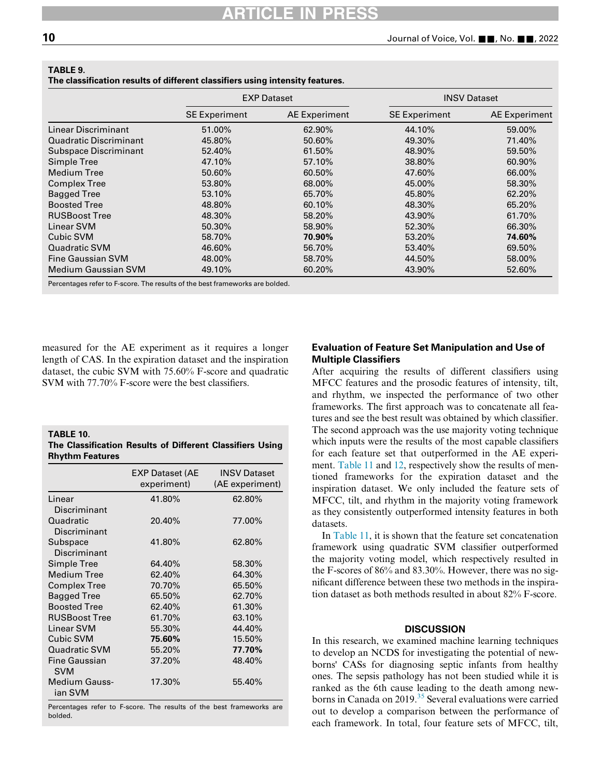|                            |                      | <b>EXP Dataset</b> | <b>INSV Dataset</b>  |                      |
|----------------------------|----------------------|--------------------|----------------------|----------------------|
|                            | <b>SE Experiment</b> | AE Experiment      | <b>SE Experiment</b> | <b>AE</b> Experiment |
| Linear Discriminant        | 51.00%               | 62.90%             | 44.10%               | 59.00%               |
| Quadratic Discriminant     | 45.80%               | 50.60%             | 49.30%               | 71.40%               |
| Subspace Discriminant      | 52.40%               | 61.50%             | 48.90%               | 59.50%               |
| Simple Tree                | 47.10%               | 57.10%             | 38.80%               | 60.90%               |
| <b>Medium Tree</b>         | 50.60%               | 60.50%             | 47.60%               | 66.00%               |
| <b>Complex Tree</b>        | 53.80%               | 68.00%             | 45.00%               | 58.30%               |
| <b>Bagged Tree</b>         | 53.10%               | 65.70%             | 45.80%               | 62.20%               |
| <b>Boosted Tree</b>        | 48.80%               | 60.10%             | 48.30%               | 65.20%               |
| <b>RUSBoost Tree</b>       | 48.30%               | 58.20%             | 43.90%               | 61.70%               |
| Linear SVM                 | 50.30%               | 58.90%             | 52.30%               | 66.30%               |
| <b>Cubic SVM</b>           | 58.70%               | 70.90%             | 53.20%               | 74.60%               |
| Quadratic SVM              | 46.60%               | 56.70%             | 53.40%               | 69.50%               |
| <b>Fine Gaussian SVM</b>   | 48.00%               | 58.70%             | 44.50%               | 58.00%               |
| <b>Medium Gaussian SVM</b> | 49.10%               | 60.20%             | 43.90%               | 52.60%               |

<span id="page-9-0"></span>TABLE 9.

Percentages refer to F-score. The results of the best frameworks are bolded.

measured for the AE experiment as it requires a longer length of CAS. In the expiration dataset and the inspiration dataset, the cubic SVM with 75.60% F-score and quadratic SVM with 77.70% F-score were the best classifiers.

<span id="page-9-1"></span>

| TABLE 10.                                                 |  |  |
|-----------------------------------------------------------|--|--|
| The Classification Results of Different Classifiers Using |  |  |
| <b>Rhythm Features</b>                                    |  |  |

|                                 | <b>EXP Dataset (AE</b><br>experiment) | <b>INSV Dataset</b><br>(AE experiment) |
|---------------------------------|---------------------------------------|----------------------------------------|
| Linear                          | 41.80%                                | 62.80%                                 |
| Discriminant                    |                                       |                                        |
| Quadratic                       | 20.40%                                | 77.00%                                 |
| Discriminant                    |                                       |                                        |
| Subspace                        | 41.80%                                | 62.80%                                 |
| Discriminant                    |                                       |                                        |
| Simple Tree                     | 64.40%                                | 58.30%                                 |
| Medium Tree                     | 62.40%                                | 64.30%                                 |
| <b>Complex Tree</b>             | 70.70%                                | 65.50%                                 |
| <b>Bagged Tree</b>              | 65.50%                                | 62.70%                                 |
| <b>Boosted Tree</b>             | 62.40%                                | 61.30%                                 |
| <b>RUSBoost Tree</b>            | 61.70%                                | 63.10%                                 |
| Linear SVM                      | 55.30%                                | 44.40%                                 |
| Cubic SVM                       | 75.60%                                | 15.50%                                 |
| Quadratic SVM                   | 55.20%                                | 77.70%                                 |
| Fine Gaussian<br><b>SVM</b>     | 37.20%                                | 48.40%                                 |
| <b>Medium Gauss-</b><br>ian SVM | 17.30%                                | 55.40%                                 |

Percentages refer to F-score. The results of the best frameworks are bolded.

# Evaluation of Feature Set Manipulation and Use of Multiple Classifiers

After acquiring the results of different classifiers using MFCC features and the prosodic features of intensity, tilt, and rhythm, we inspected the performance of two other frameworks. The first approach was to concatenate all features and see the best result was obtained by which classifier. The second approach was the use majority voting technique which inputs were the results of the most capable classifiers for each feature set that outperformed in the AE experi-ment. [Table 11](#page-10-0) and [12](#page-10-1), respectively show the results of mentioned frameworks for the expiration dataset and the inspiration dataset. We only included the feature sets of MFCC, tilt, and rhythm in the majority voting framework as they consistently outperformed intensity features in both datasets.

In [Table 11](#page-10-0), it is shown that the feature set concatenation framework using quadratic SVM classifier outperformed the majority voting model, which respectively resulted in the F-scores of 86% and 83.30%. However, there was no significant difference between these two methods in the inspiration dataset as both methods resulted in about 82% F-score.

#### **DISCUSSION**

In this research, we examined machine learning techniques to develop an NCDS for investigating the potential of newborns' CASs for diagnosing septic infants from healthy ones. The sepsis pathology has not been studied while it is ranked as the 6th cause leading to the death among new-borns in Canada on 2019.<sup>[35](#page-13-9)</sup> Several evaluations were carried out to develop a comparison between the performance of each framework. In total, four feature sets of MFCC, tilt,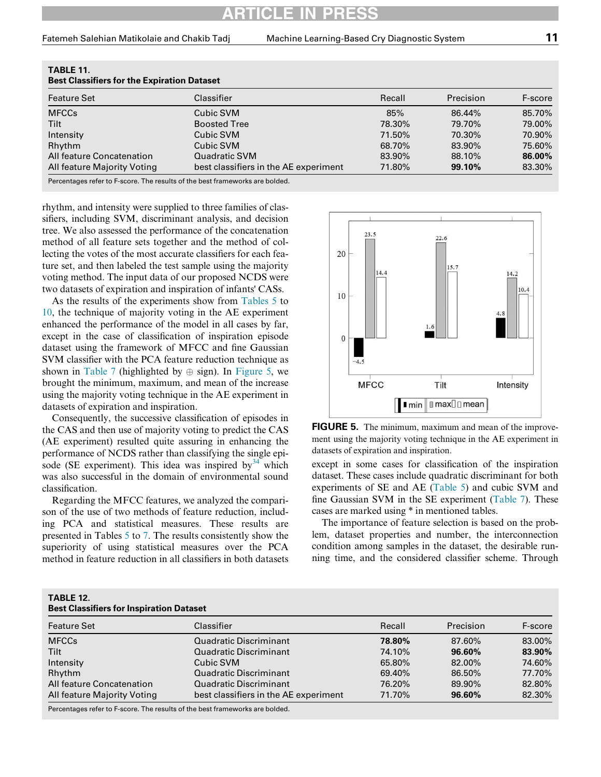Fatemeh Salehian Matikolaie and Chakib Tadj Machine Learning-Based Cry Diagnostic System 11

| <b>Best Classifiers for the Expiration Dataset</b> |                                       |        |           |         |
|----------------------------------------------------|---------------------------------------|--------|-----------|---------|
| <b>Feature Set</b>                                 | Classifier                            | Recall | Precision | F-score |
| <b>MFCCs</b>                                       | Cubic SVM                             | 85%    | 86.44%    | 85.70%  |
| <b>Tilt</b>                                        | <b>Boosted Tree</b>                   | 78.30% | 79.70%    | 79.00%  |
| Intensity                                          | Cubic SVM                             | 71.50% | 70.30%    | 70.90%  |
| Rhythm                                             | Cubic SVM                             | 68.70% | 83.90%    | 75.60%  |
| All feature Concatenation                          | Quadratic SVM                         | 83.90% | 88.10%    | 86.00%  |
| All feature Majority Voting                        | best classifiers in the AE experiment | 71.80% | 99.10%    | 83.30%  |

<span id="page-10-0"></span>TABLE 11.

Percentages refer to F-score. The results of the best frameworks are bolded.

<span id="page-10-2"></span>rhythm, and intensity were supplied to three families of classifiers, including SVM, discriminant analysis, and decision tree. We also assessed the performance of the concatenation method of all feature sets together and the method of collecting the votes of the most accurate classifiers for each feature set, and then labeled the test sample using the majority voting method. The input data of our proposed NCDS were two datasets of expiration and inspiration of infants' CASs.

As the results of the experiments show from [Tables 5](#page-7-0) to [10,](#page-9-1) the technique of majority voting in the AE experiment enhanced the performance of the model in all cases by far, except in the case of classification of inspiration episode dataset using the framework of MFCC and fine Gaussian SVM classifier with the PCA feature reduction technique as shown in [Table 7](#page-8-0) (highlighted by  $\oplus$  sign). In [Figure 5](#page-10-2), we brought the minimum, maximum, and mean of the increase using the majority voting technique in the AE experiment in datasets of expiration and inspiration.

Consequently, the successive classification of episodes in the CAS and then use of majority voting to predict the CAS (AE experiment) resulted quite assuring in enhancing the performance of NCDS rather than classifying the single episode (SE experiment). This idea was inspired by  $34$  which was also successful in the domain of environmental sound classification.

Regarding the MFCC features, we analyzed the comparison of the use of two methods of feature reduction, including PCA and statistical measures. These results are presented in Tables [5](#page-7-0) to [7.](#page-8-0) The results consistently show the superiority of using statistical measures over the PCA method in feature reduction in all classifiers in both datasets



FIGURE 5. The minimum, maximum and mean of the improvement using the majority voting technique in the AE experiment in datasets of expiration and inspiration.

except in some cases for classification of the inspiration dataset. These cases include quadratic discriminant for both experiments of SE and AE [\(Table 5](#page-7-0)) and cubic SVM and fine Gaussian SVM in the SE experiment [\(Table 7](#page-8-0)). These cases are marked using \* in mentioned tables.

The importance of feature selection is based on the problem, dataset properties and number, the interconnection condition among samples in the dataset, the desirable running time, and the considered classifier scheme. Through

<span id="page-10-1"></span>

| TABLE 12.                                       |  |
|-------------------------------------------------|--|
| <b>Best Classifiers for Inspiration Dataset</b> |  |

| Best Classifiers for inspiration Dataset |                                       |        |           |         |
|------------------------------------------|---------------------------------------|--------|-----------|---------|
| <b>Feature Set</b>                       | Classifier                            | Recall | Precision | F-score |
| <b>MFCCs</b>                             | <b>Quadratic Discriminant</b>         | 78.80% | 87.60%    | 83.00%  |
| <b>Tilt</b>                              | <b>Quadratic Discriminant</b>         | 74.10% | $96.60\%$ | 83.90%  |
| Intensity                                | Cubic SVM                             | 65.80% | 82.00%    | 74.60%  |
| Rhythm                                   | Quadratic Discriminant                | 69.40% | 86.50%    | 77.70%  |
| All feature Concatenation                | Quadratic Discriminant                | 76.20% | 89.90%    | 82.80%  |
| All feature Majority Voting              | best classifiers in the AE experiment | 71.70% | 96.60%    | 82.30%  |
|                                          |                                       |        |           |         |

Percentages refer to F-score. The results of the best frameworks are bolded.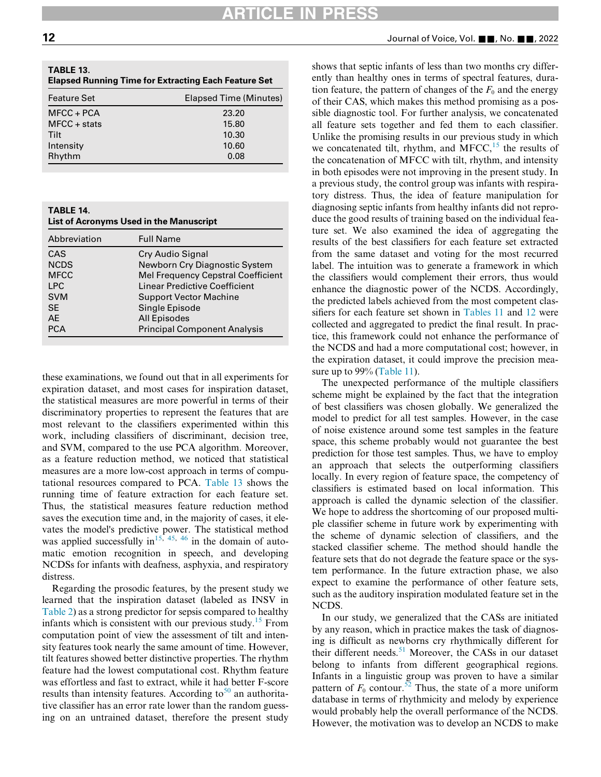| <b>Feature Set</b> | Elapsed Time (Minutes) |
|--------------------|------------------------|
| $MFCC + PCA$       | 23.20                  |
| $MFCC + stats$     | 15.80                  |
| Tilt               | 10.30                  |
| Intensity          | 10.60                  |
| Rhythm             | 0.08                   |

<span id="page-11-0"></span>

| <b>TABLE 14.</b>                        |  |
|-----------------------------------------|--|
| List of Acronyms Used in the Manuscript |  |
|                                         |  |

| Abbreviation | <b>Full Name</b>                    |
|--------------|-------------------------------------|
| CAS          | Cry Audio Signal                    |
| <b>NCDS</b>  | Newborn Cry Diagnostic System       |
| <b>MFCC</b>  | Mel Frequency Cepstral Coefficient  |
| <b>LPC</b>   | Linear Predictive Coefficient       |
| <b>SVM</b>   | <b>Support Vector Machine</b>       |
| <b>SE</b>    | Single Episode                      |
| AF           | <b>All Episodes</b>                 |
| <b>PCA</b>   | <b>Principal Component Analysis</b> |
|              |                                     |

these examinations, we found out that in all experiments for expiration dataset, and most cases for inspiration dataset, the statistical measures are more powerful in terms of their discriminatory properties to represent the features that are most relevant to the classifiers experimented within this work, including classifiers of discriminant, decision tree, and SVM, compared to the use PCA algorithm. Moreover, as a feature reduction method, we noticed that statistical measures are a more low-cost approach in terms of computational resources compared to PCA. [Table 13](#page-11-1) shows the running time of feature extraction for each feature set. Thus, the statistical measures feature reduction method saves the execution time and, in the majority of cases, it elevates the model's predictive power. The statistical method was applied successfully in<sup>[15](#page-12-18), [45](#page-13-19), [46](#page-13-20)</sup> in the domain of automatic emotion recognition in speech, and developing NCDSs for infants with deafness, asphyxia, and respiratory distress.

Regarding the prosodic features, by the present study we learned that the inspiration dataset (labeled as INSV in [Table 2](#page-3-0)) as a strong predictor for sepsis compared to healthy infants which is consistent with our previous study.<sup>[15](#page-12-18)</sup> From computation point of view the assessment of tilt and intensity features took nearly the same amount of time. However, tilt features showed better distinctive properties. The rhythm feature had the lowest computational cost. Rhythm feature was effortless and fast to extract, while it had better F-score results than intensity features. According to<sup>[50](#page-13-24)</sup> an authoritative classifier has an error rate lower than the random guessing on an untrained dataset, therefore the present study

<span id="page-11-1"></span> $12$  Journal of Voice, Vol.  $\blacksquare$ , No.  $\blacksquare$ , 2022

shows that septic infants of less than two months cry differently than healthy ones in terms of spectral features, duration feature, the pattern of changes of the  $F_0$  and the energy of their CAS, which makes this method promising as a possible diagnostic tool. For further analysis, we concatenated all feature sets together and fed them to each classifier. Unlike the promising results in our previous study in which we concatenated tilt, rhythm, and MFCC,  $^{15}$  $^{15}$  $^{15}$  the results of the concatenation of MFCC with tilt, rhythm, and intensity in both episodes were not improving in the present study. In a previous study, the control group was infants with respiratory distress. Thus, the idea of feature manipulation for diagnosing septic infants from healthy infants did not reproduce the good results of training based on the individual feature set. We also examined the idea of aggregating the results of the best classifiers for each feature set extracted from the same dataset and voting for the most recurred label. The intuition was to generate a framework in which the classifiers would complement their errors, thus would enhance the diagnostic power of the NCDS. Accordingly, the predicted labels achieved from the most competent classifiers for each feature set shown in [Tables 11](#page-10-0) and [12](#page-10-1) were collected and aggregated to predict the final result. In practice, this framework could not enhance the performance of the NCDS and had a more computational cost; however, in the expiration dataset, it could improve the precision mea-sure up to 99% ([Table 11\)](#page-10-0).

The unexpected performance of the multiple classifiers scheme might be explained by the fact that the integration of best classifiers was chosen globally. We generalized the model to predict for all test samples. However, in the case of noise existence around some test samples in the feature space, this scheme probably would not guarantee the best prediction for those test samples. Thus, we have to employ an approach that selects the outperforming classifiers locally. In every region of feature space, the competency of classifiers is estimated based on local information. This approach is called the dynamic selection of the classifier. We hope to address the shortcoming of our proposed multiple classifier scheme in future work by experimenting with the scheme of dynamic selection of classifiers, and the stacked classifier scheme. The method should handle the feature sets that do not degrade the feature space or the system performance. In the future extraction phase, we also expect to examine the performance of other feature sets, such as the auditory inspiration modulated feature set in the NCDS.

In our study, we generalized that the CASs are initiated by any reason, which in practice makes the task of diagnosing is difficult as newborns cry rhythmically different for their different needs.<sup>[51](#page-13-25)</sup> Moreover, the CASs in our dataset belong to infants from different geographical regions. Infants in a linguistic group was proven to have a similar pattern of  $F_0$  contour.<sup>52</sup> Thus, the state of a more uniform database in terms of rhythmicity and melody by experience would probably help the overall performance of the NCDS. However, the motivation was to develop an NCDS to make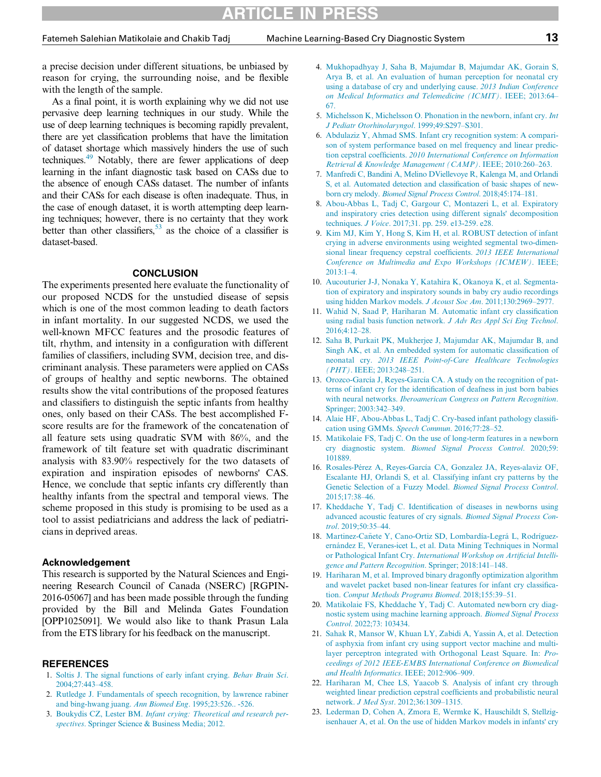<span id="page-12-3"></span>a precise decision under different situations, be unbiased by reason for crying, the surrounding noise, and be flexible with the length of the sample.

<span id="page-12-6"></span><span id="page-12-5"></span><span id="page-12-4"></span>As a final point, it is worth explaining why we did not use pervasive deep learning techniques in our study. While the use of deep learning techniques is becoming rapidly prevalent, there are yet classification problems that have the limitation of dataset shortage which massively hinders the use of such techniques.<sup>[49](#page-13-23)</sup> Notably, there are fewer applications of deep learning in the infant diagnostic task based on CASs due to the absence of enough CASs dataset. The number of infants and their CASs for each disease is often inadequate. Thus, in the case of enough dataset, it is worth attempting deep learning techniques; however, there is no certainty that they work better than other classifiers,  $53$  as the choice of a classifier is dataset-based.

### **CONCLUSION**

<span id="page-12-13"></span><span id="page-12-12"></span><span id="page-12-11"></span><span id="page-12-10"></span><span id="page-12-9"></span><span id="page-12-8"></span><span id="page-12-7"></span>The experiments presented here evaluate the functionality of our proposed NCDS for the unstudied disease of sepsis which is one of the most common leading to death factors in infant mortality. In our suggested NCDS, we used the well-known MFCC features and the prosodic features of tilt, rhythm, and intensity in a configuration with different families of classifiers, including SVM, decision tree, and discriminant analysis. These parameters were applied on CASs of groups of healthy and septic newborns. The obtained results show the vital contributions of the proposed features and classifiers to distinguish the septic infants from healthy ones, only based on their CASs. The best accomplished Fscore results are for the framework of the concatenation of all feature sets using quadratic SVM with 86%, and the framework of tilt feature set with quadratic discriminant analysis with 83.90% respectively for the two datasets of expiration and inspiration episodes of newborns' CAS. Hence, we conclude that septic infants cry differently than healthy infants from the spectral and temporal views. The scheme proposed in this study is promising to be used as a tool to assist pediatricians and address the lack of pediatricians in deprived areas.

### <span id="page-12-19"></span><span id="page-12-18"></span><span id="page-12-16"></span><span id="page-12-15"></span>Acknowledgement

<span id="page-12-17"></span><span id="page-12-14"></span>This research is supported by the Natural Sciences and Engineering Research Council of Canada (NSERC) [RGPIN-2016-05067] and has been made possible through the funding provided by the Bill and Melinda Gates Foundation [OPP1025091]. We would also like to thank Prasun Lala from the ETS library for his feedback on the manuscript.

#### <span id="page-12-20"></span><span id="page-12-0"></span>REFERENCES

- <span id="page-12-21"></span>1. [Soltis J. The signal functions of early infant crying.](http://refhub.elsevier.com/S0892-1997(21)00452-5/sbref0001) Behav Brain Sci. [2004;27:443](http://refhub.elsevier.com/S0892-1997(21)00452-5/sbref0001)–458.
- <span id="page-12-1"></span>2. [Rutledge J. Fundamentals of speech recognition, by lawrence rabiner](http://refhub.elsevier.com/S0892-1997(21)00452-5/sbref0002) [and bing-hwang juang.](http://refhub.elsevier.com/S0892-1997(21)00452-5/sbref0002) Ann Biomed Eng. 1995;23:526.. -526.
- <span id="page-12-22"></span><span id="page-12-2"></span>3. Boukydis CZ, Lester BM. [Infant crying: Theoretical and research per](http://refhub.elsevier.com/S0892-1997(21)00452-5/sbref0003)spectives[. Springer Science & Business Media; 2012.](http://refhub.elsevier.com/S0892-1997(21)00452-5/sbref0003)
- 4. [Mukhopadhyay J, Saha B, Majumdar B, Majumdar AK, Gorain S,](http://refhub.elsevier.com/S0892-1997(21)00452-5/sbref0004) [Arya B, et al. An evaluation of human perception for neonatal cry](http://refhub.elsevier.com/S0892-1997(21)00452-5/sbref0004) [using a database of cry and underlying cause.](http://refhub.elsevier.com/S0892-1997(21)00452-5/sbref0004) 2013 Indian Conference [on Medical Informatics and Telemedicine \(ICMIT\)](http://refhub.elsevier.com/S0892-1997(21)00452-5/sbref0004). IEEE; 2013:64– [67.](http://refhub.elsevier.com/S0892-1997(21)00452-5/sbref0004)
- 5. [Michelsson K, Michelsson O. Phonation in the newborn, infant cry.](http://refhub.elsevier.com/S0892-1997(21)00452-5/sbref0005) Int [J Pediatr Otorhinolaryngol](http://refhub.elsevier.com/S0892-1997(21)00452-5/sbref0005). 1999;49:S297–S301.
- 6. [Abdulaziz Y, Ahmad SMS. Infant cry recognition system: A compari](http://refhub.elsevier.com/S0892-1997(21)00452-5/sbref0006)[son of system performance based on mel frequency and linear predic](http://refhub.elsevier.com/S0892-1997(21)00452-5/sbref0006)tion cepstral coefficients. [2010 International Conference on Information](http://refhub.elsevier.com/S0892-1997(21)00452-5/sbref0006) [Retrieval & Knowledge Management \(CAMP\)](http://refhub.elsevier.com/S0892-1997(21)00452-5/sbref0006). IEEE; 2010:260–263.
- 7. [Manfredi C, Bandini A, Melino DViellevoye R, Kalenga M, and Orlandi](http://refhub.elsevier.com/S0892-1997(21)00452-5/sbref0007) [S, et al. Automated detection and classi](http://refhub.elsevier.com/S0892-1997(21)00452-5/sbref0007)fication of basic shapes of newborn cry melody. [Biomed Signal Process Control](http://refhub.elsevier.com/S0892-1997(21)00452-5/sbref0007). 2018;45:174–181.
- 8. [Abou-Abbas L, Tadj C, Gargour C, Montazeri L, et al. Expiratory](http://refhub.elsevier.com/S0892-1997(21)00452-5/sbref0008) [and inspiratory cries detection using different signals](http://refhub.elsevier.com/S0892-1997(21)00452-5/sbref0008)' decomposition techniques. J Voice[. 2017;31. pp. 259. e13-259. e28.](http://refhub.elsevier.com/S0892-1997(21)00452-5/sbref0008)
- 9. [Kim MJ, Kim Y, Hong S, Kim H, et al. ROBUST detection of infant](http://refhub.elsevier.com/S0892-1997(21)00452-5/sbref0009) [crying in adverse environments using weighted segmental two-dimen](http://refhub.elsevier.com/S0892-1997(21)00452-5/sbref0009)[sional linear frequency cepstral coef](http://refhub.elsevier.com/S0892-1997(21)00452-5/sbref0009)ficients. 2013 IEEE International [Conference on Multimedia and Expo Workshops \(ICMEW\)](http://refhub.elsevier.com/S0892-1997(21)00452-5/sbref0009). IEEE; [2013:1](http://refhub.elsevier.com/S0892-1997(21)00452-5/sbref0009)–4.
- 10. [Aucouturier J-J, Nonaka Y, Katahira K, Okanoya K, et al. Segmenta](http://refhub.elsevier.com/S0892-1997(21)00452-5/sbref0010)[tion of expiratory and inspiratory sounds in baby cry audio recordings](http://refhub.elsevier.com/S0892-1997(21)00452-5/sbref0010) [using hidden Markov models.](http://refhub.elsevier.com/S0892-1997(21)00452-5/sbref0010) J Acoust Soc Am. 2011;130:2969–2977.
- 11. [Wahid N, Saad P, Hariharan M. Automatic infant cry classi](http://refhub.elsevier.com/S0892-1997(21)00452-5/sbref0011)fication [using radial basis function network.](http://refhub.elsevier.com/S0892-1997(21)00452-5/sbref0011) J Adv Res Appl Sci Eng Technol. [2016;4:12](http://refhub.elsevier.com/S0892-1997(21)00452-5/sbref0011)–28.
- 12. [Saha B, Purkait PK, Mukherjee J, Majumdar AK, Majumdar B, and](http://refhub.elsevier.com/S0892-1997(21)00452-5/sbref0012) [Singh AK, et al. An embedded system for automatic classi](http://refhub.elsevier.com/S0892-1997(21)00452-5/sbref0012)fication of neonatal cry. [2013 IEEE Point-of-Care Healthcare Technologies](http://refhub.elsevier.com/S0892-1997(21)00452-5/sbref0012) (PHT)[. IEEE; 2013:248](http://refhub.elsevier.com/S0892-1997(21)00452-5/sbref0012)–251.
- 13. [Orozco-García J, Reyes-García CA. A study on the recognition of pat](http://refhub.elsevier.com/S0892-1997(21)00452-5/sbref0013)terns of infant cry for the identifi[cation of deafness in just born babies](http://refhub.elsevier.com/S0892-1997(21)00452-5/sbref0013) with neural networks. *[Iberoamerican Congress on Pattern Recognition](http://refhub.elsevier.com/S0892-1997(21)00452-5/sbref0013)*. [Springer; 2003:342](http://refhub.elsevier.com/S0892-1997(21)00452-5/sbref0013)–349.
- 14. [Alaie HF, Abou-Abbas L, Tadj C. Cry-based infant pathology classi](http://refhub.elsevier.com/S0892-1997(21)00452-5/sbref0014)fi[cation using GMMs.](http://refhub.elsevier.com/S0892-1997(21)00452-5/sbref0014) Speech Commun. 2016;77:28–52.
- 15. [Matikolaie FS, Tadj C. On the use of long-term features in a newborn](http://refhub.elsevier.com/S0892-1997(21)00452-5/sbref0015) cry diagnostic system. [Biomed Signal Process Control](http://refhub.elsevier.com/S0892-1997(21)00452-5/sbref0015). 2020;59: [101889.](http://refhub.elsevier.com/S0892-1997(21)00452-5/sbref0015)
- 16. [Rosales-Pérez A, Reyes-García CA, Gonzalez JA, Reyes-alaviz OF,](http://refhub.elsevier.com/S0892-1997(21)00452-5/sbref0016) [Escalante HJ, Orlandi S, et al. Classifying infant cry patterns by the](http://refhub.elsevier.com/S0892-1997(21)00452-5/sbref0016) [Genetic Selection of a Fuzzy Model.](http://refhub.elsevier.com/S0892-1997(21)00452-5/sbref0016) Biomed Signal Process Control. [2015;17:38](http://refhub.elsevier.com/S0892-1997(21)00452-5/sbref0016)–46.
- 17. Kheddache Y, Tadj C. Identifi[cation of diseases in newborns using](http://refhub.elsevier.com/S0892-1997(21)00452-5/sbref0017) [advanced acoustic features of cry signals.](http://refhub.elsevier.com/S0892-1997(21)00452-5/sbref0017) Biomed Signal Process Control[. 2019;50:35](http://refhub.elsevier.com/S0892-1997(21)00452-5/sbref0017)–44.
- 18. [Martinez-Ca](http://refhub.elsevier.com/S0892-1997(21)00452-5/sbref0018)ñ[ete Y, Cano-Ortiz SD, Lombardía-Legrá L, Rodríguez](http://refhub.elsevier.com/S0892-1997(21)00452-5/sbref0018) [ernández E, Veranes-icet L, et al. Data Mining Techniques in Normal](http://refhub.elsevier.com/S0892-1997(21)00452-5/sbref0018) or Pathological Infant Cry. [International Workshop on Arti](http://refhub.elsevier.com/S0892-1997(21)00452-5/sbref0018)ficial Intelli[gence and Pattern Recognition](http://refhub.elsevier.com/S0892-1997(21)00452-5/sbref0018). Springer; 2018:141–148.
- 19. [Hariharan M, et al. Improved binary dragon](http://refhub.elsevier.com/S0892-1997(21)00452-5/sbref0019)fly optimization algorithm [and wavelet packet based non-linear features for infant cry classi](http://refhub.elsevier.com/S0892-1997(21)00452-5/sbref0019)fication. [Comput Methods Programs Biomed](http://refhub.elsevier.com/S0892-1997(21)00452-5/sbref0019). 2018;155:39–51.
- 20. [Matikolaie FS, Kheddache Y, Tadj C. Automated newborn cry diag](http://refhub.elsevier.com/S0892-1997(21)00452-5/sbref0020)[nostic system using machine learning approach.](http://refhub.elsevier.com/S0892-1997(21)00452-5/sbref0020) Biomed Signal Process Control[. 2022;73: 103434.](http://refhub.elsevier.com/S0892-1997(21)00452-5/sbref0020)
- 21. [Sahak R, Mansor W, Khuan LY, Zabidi A, Yassin A, et al. Detection](http://refhub.elsevier.com/S0892-1997(21)00452-5/sbref0021) [of asphyxia from infant cry using support vector machine and multi](http://refhub.elsevier.com/S0892-1997(21)00452-5/sbref0021)[layer perceptron integrated with Orthogonal Least Square. In:](http://refhub.elsevier.com/S0892-1997(21)00452-5/sbref0021) Pro[ceedings of 2012 IEEE-EMBS International Conference on Biomedical](http://refhub.elsevier.com/S0892-1997(21)00452-5/sbref0021) [and Health Informatics](http://refhub.elsevier.com/S0892-1997(21)00452-5/sbref0021). IEEE; 2012:906–909.
- 22. [Hariharan M, Chee LS, Yaacob S. Analysis of infant cry through](http://refhub.elsevier.com/S0892-1997(21)00452-5/sbref0022) [weighted linear prediction cepstral coef](http://refhub.elsevier.com/S0892-1997(21)00452-5/sbref0022)ficients and probabilistic neural network. J Med Syst[. 2012;36:1309](http://refhub.elsevier.com/S0892-1997(21)00452-5/sbref0022)–1315.
- 23. [Lederman D, Cohen A, Zmora E, Wermke K, Hauschildt S, Stellzig](http://refhub.elsevier.com/S0892-1997(21)00452-5/sbref0023)[isenhauer A, et al. On the use of hidden Markov models in infants](http://refhub.elsevier.com/S0892-1997(21)00452-5/sbref0023)' cry